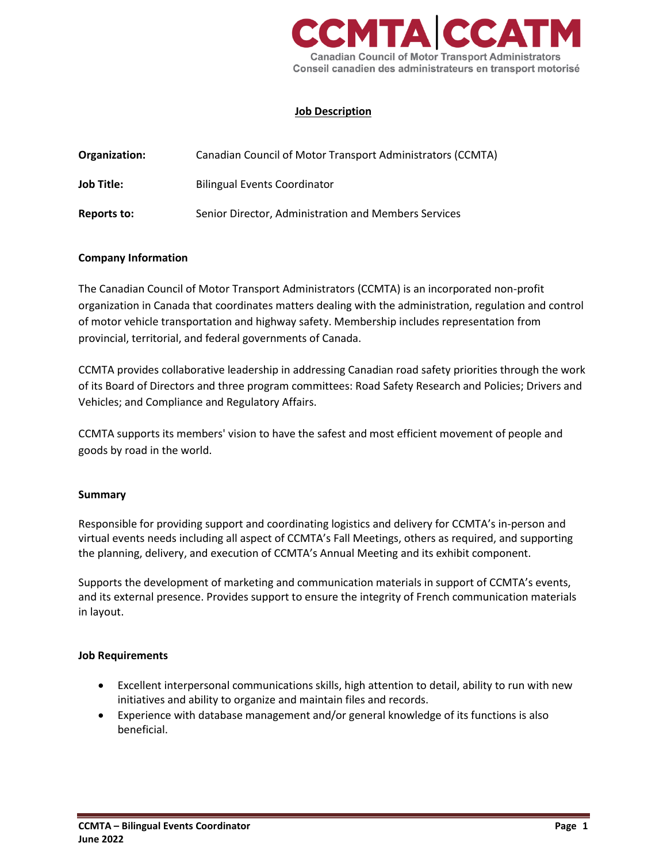

## **Job Description**

| Organization:     | Canadian Council of Motor Transport Administrators (CCMTA) |
|-------------------|------------------------------------------------------------|
| <b>Job Title:</b> | <b>Bilingual Events Coordinator</b>                        |
| Reports to:       | Senior Director, Administration and Members Services       |

#### **Company Information**

The Canadian Council of Motor Transport Administrators (CCMTA) is an incorporated non-profit organization in Canada that coordinates matters dealing with the administration, regulation and control of motor vehicle transportation and highway safety. Membership includes representation from provincial, territorial, and federal governments of Canada.

CCMTA provides collaborative leadership in addressing Canadian road safety priorities through the work of its Board of Directors and three program committees: Road Safety Research and Policies; Drivers and Vehicles; and Compliance and Regulatory Affairs.

CCMTA supports its members' vision to have the safest and most efficient movement of people and goods by road in the world.

#### **Summary**

Responsible for providing support and coordinating logistics and delivery for CCMTA's in-person and virtual events needs including all aspect of CCMTA's Fall Meetings, others as required, and supporting the planning, delivery, and execution of CCMTA's Annual Meeting and its exhibit component.

Supports the development of marketing and communication materials in support of CCMTA's events, and its external presence. Provides support to ensure the integrity of French communication materials in layout.

#### **Job Requirements**

- Excellent interpersonal communications skills, high attention to detail, ability to run with new initiatives and ability to organize and maintain files and records.
- Experience with database management and/or general knowledge of its functions is also beneficial.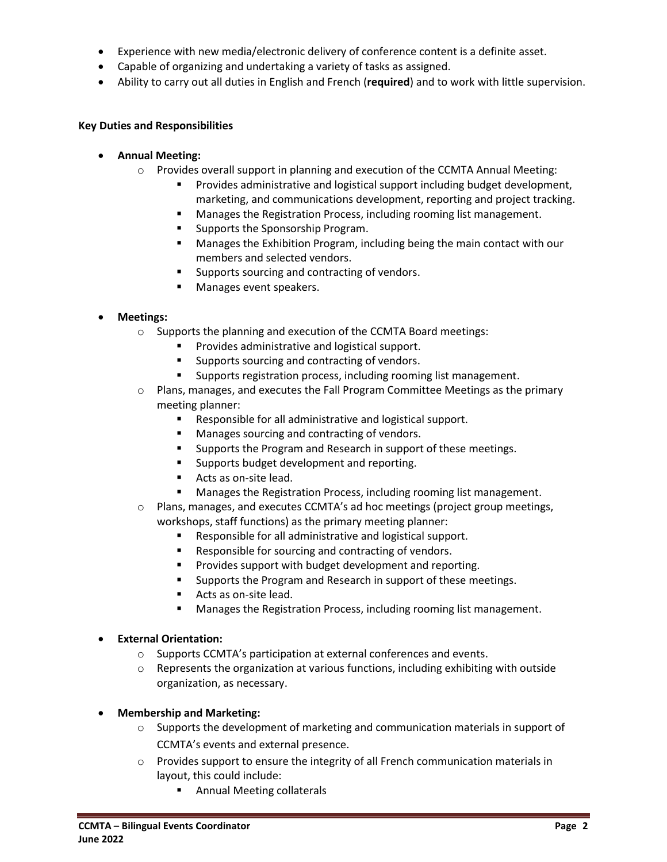- Experience with new media/electronic delivery of conference content is a definite asset.
- Capable of organizing and undertaking a variety of tasks as assigned.
- Ability to carry out all duties in English and French (**required**) and to work with little supervision.

## **Key Duties and Responsibilities**

- **Annual Meeting:**
	- $\circ$  Provides overall support in planning and execution of the CCMTA Annual Meeting:
		- Provides administrative and logistical support including budget development, marketing, and communications development, reporting and project tracking.
		- Manages the Registration Process, including rooming list management.
		-
		- Supports the Sponsorship Program.<br>■ Manages the Exhibition Program, in Manages the Exhibition Program, including being the main contact with our members and selected vendors.
		- Supports sourcing and contracting of vendors.
		- Manages event speakers.

# • **Meetings:**

- o Supports the planning and execution of the CCMTA Board meetings:
	- Provides administrative and logistical support.
	- Supports sourcing and contracting of vendors.
	- Supports registration process, including rooming list management.
- $\circ$  Plans, manages, and executes the Fall Program Committee Meetings as the primary meeting planner:
	- Responsible for all administrative and logistical support.
	- Manages sourcing and contracting of vendors.
	- Supports the Program and Research in support of these meetings.
	- Supports budget development and reporting.
	- Acts as on-site lead.
	- Manages the Registration Process, including rooming list management.
- o Plans, manages, and executes CCMTA's ad hoc meetings (project group meetings, workshops, staff functions) as the primary meeting planner:
	- Responsible for all administrative and logistical support.
	- Responsible for sourcing and contracting of vendors.
	- Provides support with budget development and reporting.
	- Supports the Program and Research in support of these meetings.
	- Acts as on-site lead.
	- Manages the Registration Process, including rooming list management.

### • **External Orientation:**

- o Supports CCMTA's participation at external conferences and events.
- $\circ$  Represents the organization at various functions, including exhibiting with outside organization, as necessary.

### • **Membership and Marketing:**

- $\circ$  Supports the development of marketing and communication materials in support of CCMTA's events and external presence.
- $\circ$  Provides support to ensure the integrity of all French communication materials in layout, this could include:
	- Annual Meeting collaterals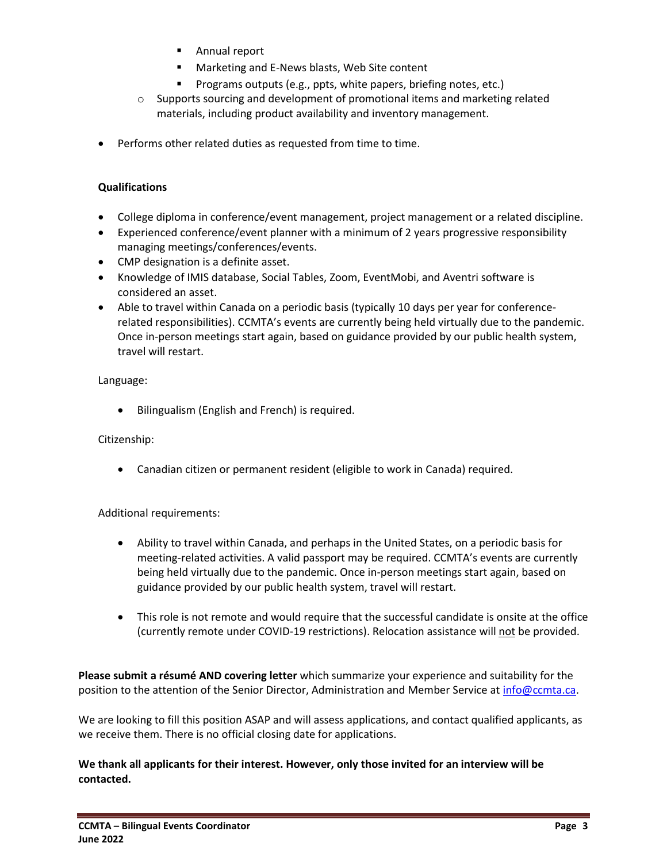- Annual report
- Marketing and E-News blasts, Web Site content
- Programs outputs (e.g., ppts, white papers, briefing notes, etc.)
- $\circ$  Supports sourcing and development of promotional items and marketing related materials, including product availability and inventory management.
- Performs other related duties as requested from time to time.

### **Qualifications**

- College diploma in conference/event management, project management or a related discipline.
- Experienced conference/event planner with a minimum of 2 years progressive responsibility managing meetings/conferences/events.
- CMP designation is a definite asset.
- Knowledge of IMIS database, Social Tables, Zoom, EventMobi, and Aventri software is considered an asset.
- Able to travel within Canada on a periodic basis (typically 10 days per year for conferencerelated responsibilities). CCMTA's events are currently being held virtually due to the pandemic. Once in-person meetings start again, based on guidance provided by our public health system, travel will restart.

### Language:

• Bilingualism (English and French) is required.

### Citizenship:

• Canadian citizen or permanent resident (eligible to work in Canada) required.

### Additional requirements:

- Ability to travel within Canada, and perhaps in the United States, on a periodic basis for meeting-related activities. A valid passport may be required. CCMTA's events are currently being held virtually due to the pandemic. Once in-person meetings start again, based on guidance provided by our public health system, travel will restart.
- This role is not remote and would require that the successful candidate is onsite at the office (currently remote under COVID-19 restrictions). Relocation assistance will not be provided.

**Please submit a résumé AND covering letter** which summarize your experience and suitability for the position to the attention of the Senior Director, Administration and Member Service a[t info@ccmta.ca.](mailto:info@ccmta.ca)

We are looking to fill this position ASAP and will assess applications, and contact qualified applicants, as we receive them. There is no official closing date for applications.

**We thank all applicants for their interest. However, only those invited for an interview will be contacted.**